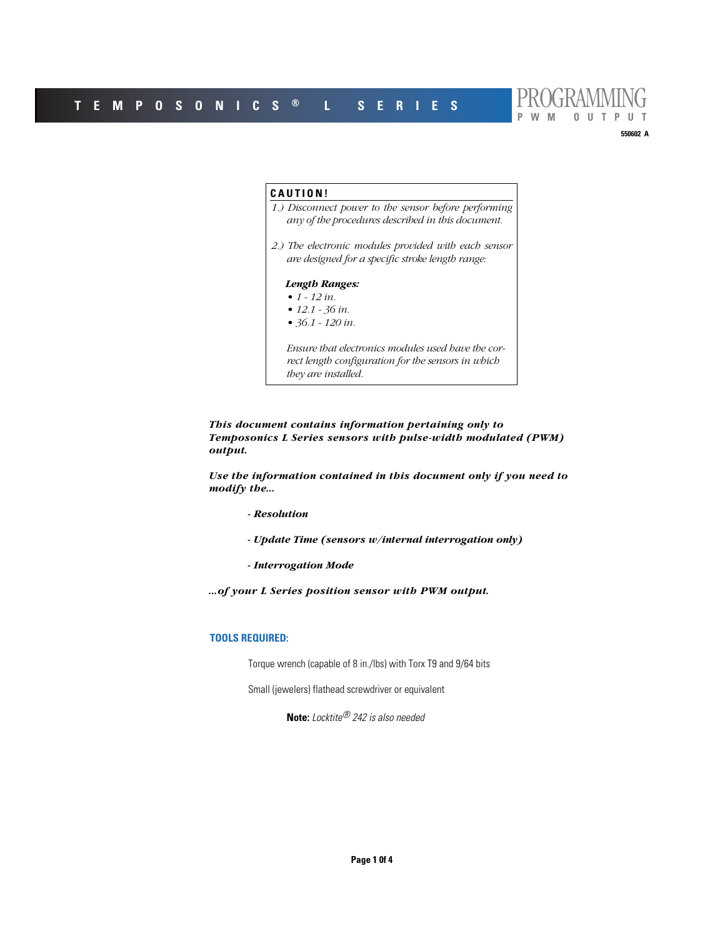

# **CAUTION!** *1.) Disconnect power to the sensor before performing any of the procedures described in this document. 2.) The electronic modules provided with each sensor are designed for a specific stroke length range: Length Ranges: • 1 - 12 in. • 12.1 - 36 in. • 36.1 - 120 in. Ensure that electronics modules used have the correct length configuration for the sensors in which they are installed.*

*This document contains information pertaining only to Temposonics L Series sensors with pulse-width modulated (PWM) output.* 

*Use the information contained in this document only if you need to modify the...*

- *Resolution*
- *Update Time (sensors w/internal interrogation only)*
- *Interrogation Mode*

*...of your L Series position sensor with PWM output.*

# **TOOLS REQUIRED:**

Torque wrench (capable of 8 in./lbs) with Torx T9 and 9/64 bits

Small (jewelers) flathead screwdriver or equivalent

**Note:** Locktite® 242 is also needed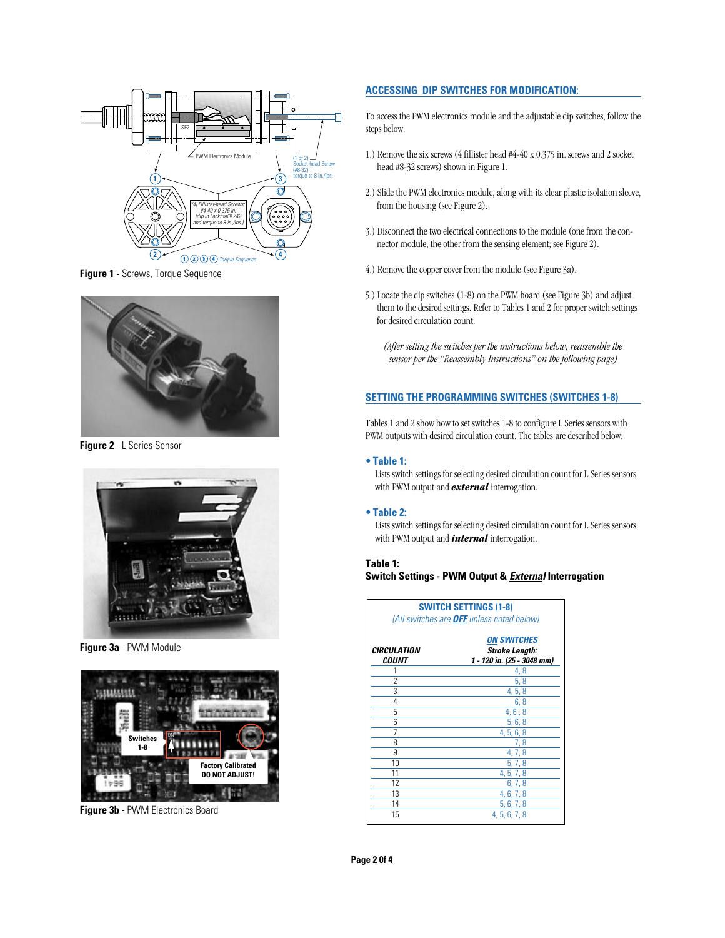

**Figure 1** - Screws, Torque Sequence



**Figure 2** - L Series Sensor



**Figure 3a** - PWM Module



**Figure 3b** - PWM Electronics Board

# **ACCESSING DIP SWITCHES FOR MODIFICATION:**

To access the PWM electronics module and the adjustable dip switches, follow the steps below:

- 1.) Remove the six screws (4 fillister head #4-40 x 0.375 in. screws and 2 socket head #8-32 screws) shown in Figure 1.
- 2.) Slide the PWM electronics module, along with its clear plastic isolation sleeve, from the housing (see Figure 2).
- 3.) Disconnect the two electrical connections to the module (one from the connector module, the other from the sensing element; see Figure 2).
- 4.) Remove the copper cover from the module (see Figure 3a).
- 5.) Locate the dip switches (1-8) on the PWM board (see Figure 3b) and adjust them to the desired settings. Refer to Tables 1 and 2 for proper switch settings for desired circulation count.
	- *(After setting the switches per the instructions below, reassemble the sensor per the "Reassembly Instructions" on the following page)*

# **SETTING THE PROGRAMMING SWITCHES (SWITCHES 1-8)**

Tables 1 and 2 show how to set switches 1-8 to configure L Series sensors with PWM outputs with desired circulation count. The tables are described below:

# **• Table 1:**

Lists switch settings for selecting desired circulation count for L Series sensors with PWM output and *external* interrogation.

#### **• Table 2:**

Lists switch settings for selecting desired circulation count for L Series sensors with PWM output and *internal* interrogation.

# **Table 1: Switch Settings - PWM Output & External Interrogation**

| <b>SWITCH SETTINGS (1-8)</b><br>(All switches are OFF unless noted below) |                                                                           |  |
|---------------------------------------------------------------------------|---------------------------------------------------------------------------|--|
| <i><b>CIRCULATION</b></i><br><i><b>COUNT</b></i>                          | <b>ON SWITCHES</b><br><b>Stroke Length:</b><br>1 - 120 in. (25 - 3048 mm) |  |
|                                                                           | 4,8                                                                       |  |
| 2                                                                         | 5, 8                                                                      |  |
| 3                                                                         | 4, 5, 8                                                                   |  |
| 4                                                                         | 6,8                                                                       |  |
| 5                                                                         | 4, 6, 8                                                                   |  |
| 6                                                                         | 5, 6, 8                                                                   |  |
| 7                                                                         | 4, 5, 6, 8                                                                |  |
| 8                                                                         | 7,8                                                                       |  |
| 9                                                                         | 4, 7, 8                                                                   |  |
| 10                                                                        | 5, 7, 8                                                                   |  |
| 11                                                                        | 4, 5, 7, 8                                                                |  |
| 12                                                                        | 6, 7, 8                                                                   |  |
| 13                                                                        | 4, 6, 7, 8                                                                |  |
| 14                                                                        | 5, 6, 7, 8                                                                |  |
| 15                                                                        | 4.5.6.7.8                                                                 |  |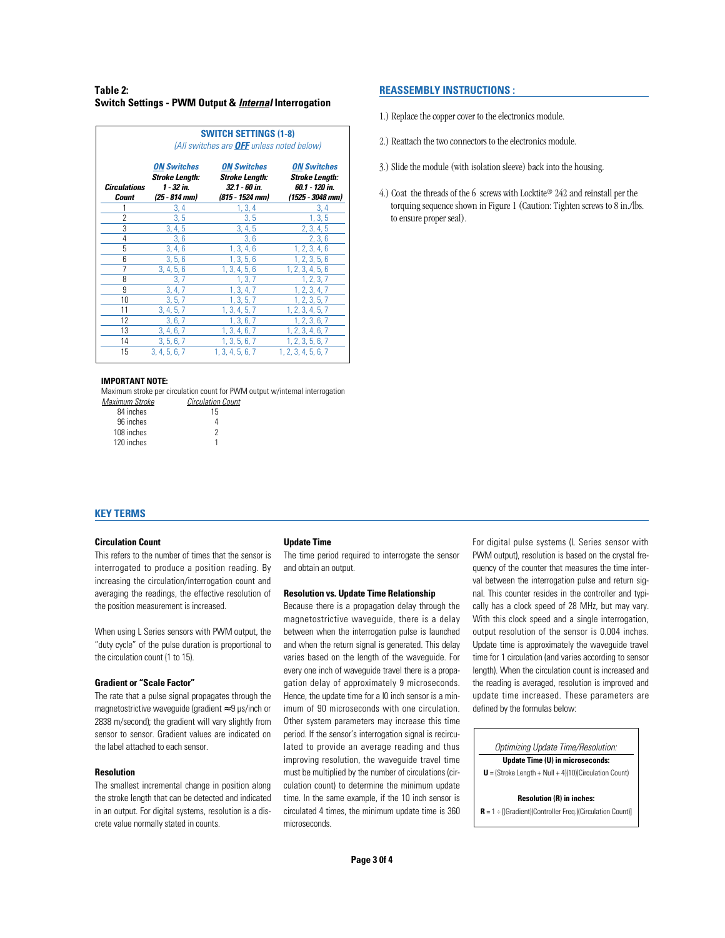# **Table 2: Switch Settings - PWM Output & Internal Interrogation**

|                          | <b>SWITCH SETTINGS (1-8)</b><br>(All switches are <b>OFF</b> unless noted below) |                                                                          |                                                                                   |
|--------------------------|----------------------------------------------------------------------------------|--------------------------------------------------------------------------|-----------------------------------------------------------------------------------|
| Circulations<br>Count    | <b>ON Switches</b><br><b>Stroke Length:</b><br>1 - 32 in.<br>(25 - 814 mm)       | <b>ON Switches</b><br>Stroke Length:<br>32.1 - 60 in.<br>(815 - 1524 mm) | <b>ON Switches</b><br><b>Stroke Length:</b><br>60.1 - 120 in.<br>(1525 - 3048 mm) |
| 1                        | 3, 4                                                                             | 1, 3, 4                                                                  | 3, 4                                                                              |
| $\overline{\phantom{a}}$ | 3, 5                                                                             | 3, 5                                                                     | 1, 3, 5                                                                           |
| 3                        | 3, 4, 5                                                                          | 3, 4, 5                                                                  | 2, 3, 4, 5                                                                        |
| 4                        | 3,6                                                                              | 3,6                                                                      | 2, 3, 6                                                                           |
| 5                        | 3, 4, 6                                                                          | 1, 3, 4, 6                                                               | 1, 2, 3, 4, 6                                                                     |
| 6                        | 3, 5, 6                                                                          | 1, 3, 5, 6                                                               | 1, 2, 3, 5, 6                                                                     |
| 7                        | 3, 4, 5, 6                                                                       | 1, 3, 4, 5, 6                                                            | 1, 2, 3, 4, 5, 6                                                                  |
| 8                        | 3,7                                                                              | 1, 3, 7                                                                  | 1, 2, 3, 7                                                                        |
| 9                        | 3, 4, 7                                                                          | 1, 3, 4, 7                                                               | 1, 2, 3, 4, 7                                                                     |
| 10                       | 3, 5, 7                                                                          | 1, 3, 5, 7                                                               | 1, 2, 3, 5, 7                                                                     |
| 11                       | 3, 4, 5, 7                                                                       | 1, 3, 4, 5, 7                                                            | 1, 2, 3, 4, 5, 7                                                                  |
| 12                       | 3, 6, 7                                                                          | 1, 3, 6, 7                                                               | 1, 2, 3, 6, 7                                                                     |
| 13                       | 3, 4, 6, 7                                                                       | 1, 3, 4, 6, 7                                                            | 1, 2, 3, 4, 6, 7                                                                  |
| 14                       | 3, 5, 6, 7                                                                       | 1, 3, 5, 6, 7                                                            | 1, 2, 3, 5, 6, 7                                                                  |
| 15                       | 3, 4, 5, 6, 7                                                                    | 1, 3, 4, 5, 6, 7                                                         | 1, 2, 3, 4, 5, 6, 7                                                               |

#### **IMPORTANT NOTE:**

Maximum stroke per circulation count for PWM output w/internal interrogation

| Maximum Stroke | <b>Circulation Count</b> |
|----------------|--------------------------|
| 84 inches      | 15                       |
| 96 inches      |                          |
| 108 inches     | 2                        |
| 120 inches     |                          |
|                |                          |

# **REASSEMBLY INSTRUCTIONS :**

- 1.) Replace the copper cover to the electronics module.
- 2.) Reattach the two connectors to the electronics module.
- 3.) Slide the module (with isolation sleeve) back into the housing.
- 4.) Coat the threads of the 6 screws with Locktite® 242 and reinstall per the torquing sequence shown in Figure 1 (Caution: Tighten screws to 8 in./lbs. to ensure proper seal).

# **KEY TERMS**

### **Circulation Count**

This refers to the number of times that the sensor is interrogated to produce a position reading. By increasing the circulation/interrogation count and averaging the readings, the effective resolution of the position measurement is increased.

When using L Series sensors with PWM output, the "duty cycle" of the pulse duration is proportional to the circulation count (1 to 15).

### **Gradient or "Scale Factor"**

The rate that a pulse signal propagates through the magnetostrictive waveguide (gradient ≈ 9 µs/inch or 2838 m/second); the gradient will vary slightly from sensor to sensor. Gradient values are indicated on the label attached to each sensor.

#### **Resolution**

The smallest incremental change in position along the stroke length that can be detected and indicated in an output. For digital systems, resolution is a discrete value normally stated in counts.

#### **Update Time**

The time period required to interrogate the sensor and obtain an output.

### **Resolution vs. Update Time Relationship**

Because there is a propagation delay through the magnetostrictive waveguide, there is a delay between when the interrogation pulse is launched and when the return signal is generated. This delay varies based on the length of the waveguide. For every one inch of waveguide travel there is a propagation delay of approximately 9 microseconds. Hence, the update time for a l0 inch sensor is a minimum of 90 microseconds with one circulation. Other system parameters may increase this time period. If the sensor's interrogation signal is recirculated to provide an average reading and thus improving resolution, the waveguide travel time must be multiplied by the number of circulations (circulation count) to determine the minimum update time. In the same example, if the 10 inch sensor is circulated 4 times, the minimum update time is 360 microseconds.

For digital pulse systems (L Series sensor with PWM output), resolution is based on the crystal frequency of the counter that measures the time interval between the interrogation pulse and return signal. This counter resides in the controller and typically has a clock speed of 28 MHz, but may vary. With this clock speed and a single interrogation, output resolution of the sensor is 0.004 inches. Update time is approximately the waveguide travel time for 1 circulation (and varies according to sensor length). When the circulation count is increased and the reading is averaged, resolution is improved and update time increased. These parameters are defined by the formulas below:

Optimizing Update Time/Resolution:

**Update Time (U) in microseconds:**

**U** = (Stroke Length + Null + 4)(10)(Circulation Count)

**Resolution (R) in inches:**

**R** = 1 ÷ [(Gradient)(Controller Freq.)(Circulation Count)]